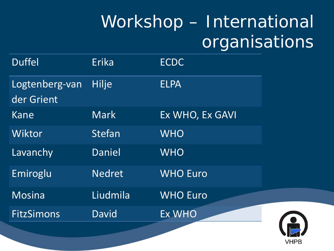## Workshop – International organisations

| <b>Duffel</b>                | Erika         | <b>ECDC</b>     |
|------------------------------|---------------|-----------------|
| Logtenberg-van<br>der Grient | <b>Hilje</b>  | <b>ELPA</b>     |
| Kane                         | <b>Mark</b>   | Ex WHO, Ex GAVI |
| Wiktor                       | <b>Stefan</b> | <b>WHO</b>      |
| Lavanchy                     | Daniel        | <b>WHO</b>      |
| Emiroglu                     | <b>Nedret</b> | <b>WHO Euro</b> |
| <b>Mosina</b>                | Liudmila      | <b>WHO Euro</b> |
| <b>FitzSimons</b>            | David         | Ex WHO          |
|                              |               |                 |

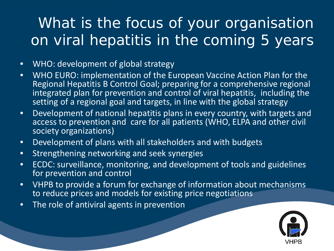## What is the focus of your organisation on viral hepatitis in the coming 5 years

- WHO: development of global strategy
- WHO EURO: implementation of the European Vaccine Action Plan for the Regional Hepatitis B Control Goal; preparing for a comprehensive regional integrated plan for prevention and control of viral hepatitis, including the setting of a regional goal and targets, in line with the global strategy
- Development of national hepatitis plans in every country, with targets and access to prevention and care for all patients (WHO, ELPA and other civil society organizations)
- Development of plans with all stakeholders and with budgets
- Strengthening networking and seek synergies
- ECDC: surveillance, monitoring, and development of tools and guidelines for prevention and control
- VHPB to provide a forum for exchange of information about mechanisms to reduce prices and models for existing price negotiations
- The role of antiviral agents in prevention